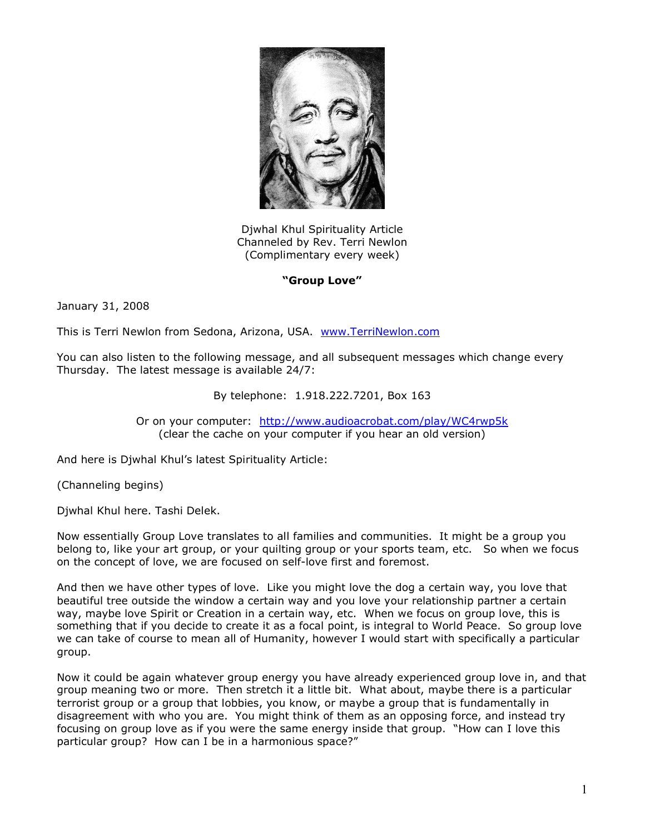

Djwhal Khul Spirituality Article Channeled by Rev. Terri Newlon (Complimentary every week)

## **"Group Love"**

January 31, 2008

This is Terri Newlon from Sedona, Arizona, USA. [www.TerriNewlon.com](http://www.terrinewlon.com/)

You can also listen to the following message, and all subsequent messages which change every Thursday. The latest message is available 24/7:

## By telephone: 1.918.222.7201, Box 163

Or on your computer: <http://www.audioacrobat.com/play/WC4rwp5k> (clear the cache on your computer if you hear an old version)

And here is Djwhal Khul's latest Spirituality Article:

(Channeling begins)

Djwhal Khul here. Tashi Delek.

Now essentially Group Love translates to all families and communities. It might be a group you belong to, like your art group, or your quilting group or your sports team, etc. So when we focus on the concept of love, we are focused on self-love first and foremost.

And then we have other types of love. Like you might love the dog a certain way, you love that beautiful tree outside the window a certain way and you love your relationship partner a certain way, maybe love Spirit or Creation in a certain way, etc. When we focus on group love, this is something that if you decide to create it as a focal point, is integral to World Peace. So group love we can take of course to mean all of Humanity, however I would start with specifically a particular group.

Now it could be again whatever group energy you have already experienced group love in, and that group meaning two or more. Then stretch it a little bit. What about, maybe there is a particular terrorist group or a group that lobbies, you know, or maybe a group that is fundamentally in disagreement with who you are. You might think of them as an opposing force, and instead try focusing on group love as if you were the same energy inside that group. "How can I love this particular group? How can I be in a harmonious space?"